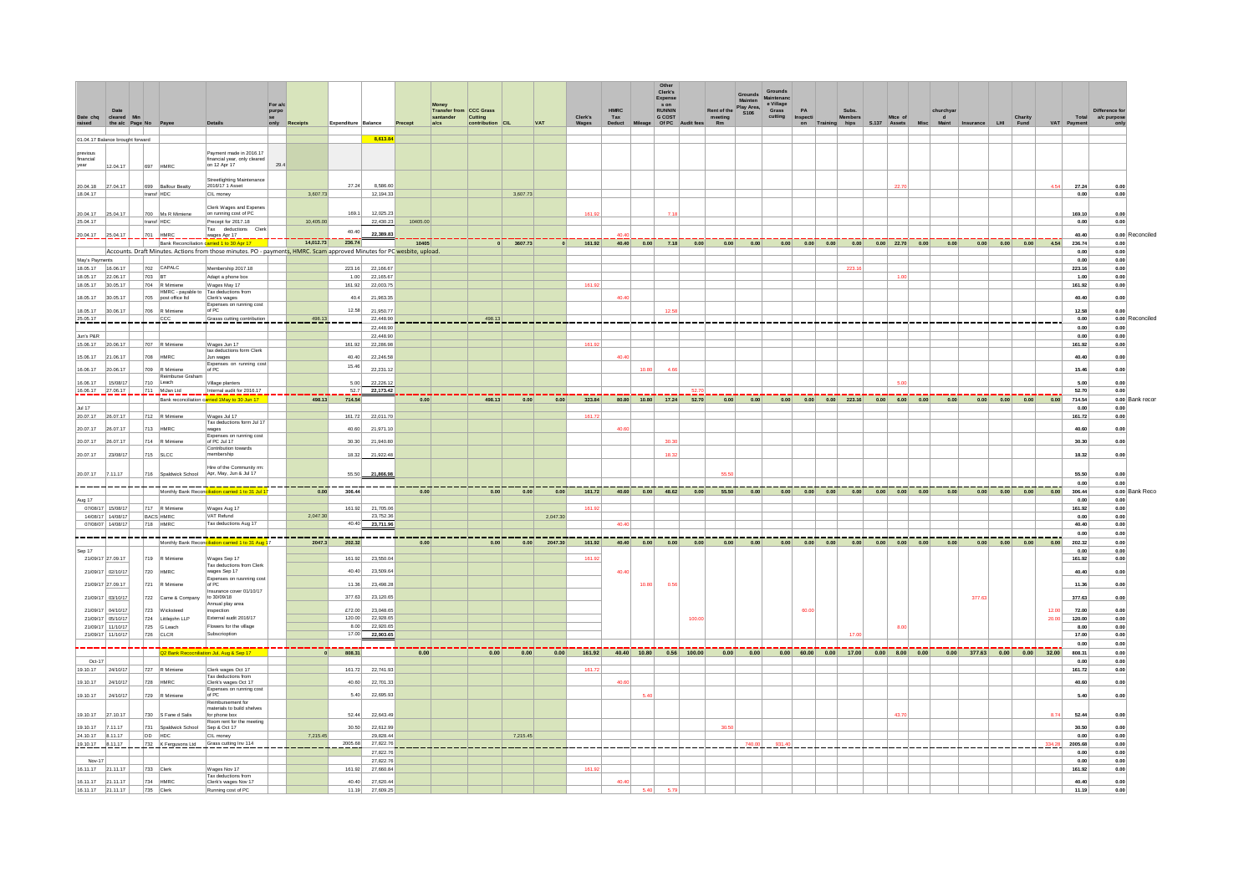|                                              |                                           |                                                                                                                                                                      |         |           |                            |                               |                       |                                    |                |         |                    | Other<br>Clerk's               |               |                                      |                               |                                                         |                 |                     |      |          |                             |       |                |                             |
|----------------------------------------------|-------------------------------------------|----------------------------------------------------------------------------------------------------------------------------------------------------------------------|---------|-----------|----------------------------|-------------------------------|-----------------------|------------------------------------|----------------|---------|--------------------|--------------------------------|---------------|--------------------------------------|-------------------------------|---------------------------------------------------------|-----------------|---------------------|------|----------|-----------------------------|-------|----------------|-----------------------------|
|                                              |                                           |                                                                                                                                                                      | For a/c |           |                            |                               | Money                 |                                    |                |         |                    | Expense<br>s on                |               | Play Area.                           |                               |                                                         |                 |                     |      |          |                             |       |                |                             |
| Date<br>Date chq<br>cleared Min              |                                           |                                                                                                                                                                      | purpo   |           |                            |                               |                       | Transfer from CCC Grass<br>Cutting |                | Clerk's | <b>HMRC</b><br>Tax | <b>RUNNIN</b><br><b>G COST</b> |               | Rent of the<br>S106<br>meeting<br>Rm | e Village<br>Grass<br>cutting | PA<br>Inspecti                                          | Subs.<br>Member |                     |      |          | <b>Charity</b><br>Fund      |       | Total          | Difference fo<br>a/c purpos |
| raised<br>the a/c Page No Pay                |                                           |                                                                                                                                                                      | only    | Receipts  | <b>Expenditure Balance</b> |                               | $a$ / $cs$<br>Precept | contribution CIL                   | <b>VAT</b>     | Wages   | <b>Deduct</b>      | Mileage Of PC Audit fees       |               |                                      |                               | on Training hips S.137 Assets                           |                 |                     |      | nsurance | LHI                         |       | VAT Payment    |                             |
| 01.04.17 Balance brought forward             |                                           |                                                                                                                                                                      |         |           |                            | 8.613.84                      |                       |                                    |                |         |                    |                                |               |                                      |                               |                                                         |                 |                     |      |          |                             |       |                |                             |
| previous<br>financial                        |                                           | Payment made in 2016.17<br>financial year, only cleared                                                                                                              |         |           |                            |                               |                       |                                    |                |         |                    |                                |               |                                      |                               |                                                         |                 |                     |      |          |                             |       |                |                             |
| year<br>12.04.17                             | 697 HMRC                                  | on 12 Apr 17                                                                                                                                                         | 29.4    |           |                            |                               |                       |                                    |                |         |                    |                                |               |                                      |                               |                                                         |                 |                     |      |          |                             |       |                |                             |
|                                              |                                           | Streetlighting Maintenanc                                                                                                                                            |         |           |                            |                               |                       |                                    |                |         |                    |                                |               |                                      |                               |                                                         |                 |                     |      |          |                             |       |                |                             |
| 20.04.18<br>27.04.17<br>18.04.17             | 699 Balfour Beatty<br>transf HDC          | 2016/17 1 Asset<br>CIL money                                                                                                                                         |         | 3,607.73  | 27.24                      | 8,586.60<br>12,194.33         |                       | 3,607.73                           |                |         |                    |                                |               |                                      |                               |                                                         |                 | 22.7                |      |          |                             | 4.54  | 27.24<br>0.00  | 0.00<br>0.00                |
|                                              |                                           | Clerk Wages and Expense                                                                                                                                              |         |           |                            |                               |                       |                                    |                |         |                    |                                |               |                                      |                               |                                                         |                 |                     |      |          |                             |       |                |                             |
| 20.04.17<br>25.04.17                         | 700 Ms R Mimiene                          | on running cost of PC                                                                                                                                                |         |           | 169.1                      | 12,025.23                     |                       |                                    |                | 161.92  |                    | 7.18                           |               |                                      |                               |                                                         |                 |                     |      |          |                             |       | 169.10         | 0.00                        |
| 25.04.17                                     | transf HDC                                | Precept for 2017.18<br>Tax deductions Clerk                                                                                                                          |         | 10,405.00 |                            | 22,430.23                     | 10405.00              |                                    |                |         |                    |                                |               |                                      |                               |                                                         |                 |                     |      |          |                             |       | 0.00           | 0.00                        |
| 20.04.17<br>25.04.17                         | 701 HMRC                                  | wages Apr 17                                                                                                                                                         |         | 14,012.73 | 40.40<br>236.74            | 22.389.83                     |                       |                                    |                |         |                    |                                |               |                                      |                               |                                                         |                 |                     |      |          |                             |       | 40.40          | 0.00 Reconciled             |
|                                              |                                           | Bank Reconciliation carried 1 to 30 Apr 17<br>Accounts. Draft Minutes. Actions from those minutes. PO - payments, HMRC. Scam approved Minutes for PC wesbite, upload |         |           |                            |                               | 10405                 | $0$ 3607.73                        |                | 161.92  |                    | 40.40 0.00                     | $7.18$ 0.00   | 0.00<br>0.00                         |                               | $0.00$ $0.00$ $0.00$                                    | 0.00            | $0.00$ 22.70 $0.00$ | 0.00 |          | $0.00$ $0.00$ $0.00$        | 4.54  | 236,74<br>0.00 | 0.00<br>0.00                |
| May's Payments                               |                                           |                                                                                                                                                                      |         |           |                            |                               |                       |                                    |                |         |                    |                                |               |                                      |                               |                                                         |                 |                     |      |          |                             |       | 0.00           | 0.00                        |
| 18.05.17  16.06.17                           | 702 CAPALC                                | Membership 2017.18                                                                                                                                                   |         |           | 223.16                     | 22,166.67                     |                       |                                    |                |         |                    |                                |               |                                      |                               |                                                         | 223.16          |                     |      |          |                             |       | 223.16         | 0.00                        |
| 18.05.17<br>22.06.17<br>18.05.17 30.05.17    | 703 BT<br>704 R Mimiene                   | Adapt a phone box<br>Wages May 17                                                                                                                                    |         |           | 1.00                       | 22,165.67<br>161.92 22,003.75 |                       |                                    |                | 161.92  |                    |                                |               |                                      |                               |                                                         |                 | 1.00                |      |          |                             |       | 1.00<br>161.92 | 0.00<br>0.00                |
| 18.05.17<br>30.05.17                         | 705 post office ltd                       | HMRC - payable to Tax deductions from<br>Clerk's wages                                                                                                               |         |           | 40.4                       | 21.963.35                     |                       |                                    |                |         | 40.40              |                                |               |                                      |                               |                                                         |                 |                     |      |          |                             |       | 40.40          | 0.00                        |
| 18.05.17<br>30.06.17                         | 706 R Mimiene                             | Expenses on running cost<br>of PC                                                                                                                                    |         |           | 12.58                      | 21,950.7                      |                       |                                    |                |         |                    | 12.58                          |               |                                      |                               |                                                         |                 |                     |      |          |                             |       | 12.58          | 0.00                        |
| 25.05.17                                     | ___ <u>ccc</u> _____                      | Grasss cutting contribution                                                                                                                                          |         | 498.13    |                            | 22,448.90                     |                       | 498.13                             |                |         |                    |                                |               |                                      |                               |                                                         |                 |                     |      |          |                             |       | 0.00           | 0.00 Reconciled             |
|                                              |                                           |                                                                                                                                                                      |         |           |                            | 22,448.90                     |                       |                                    |                |         |                    |                                |               |                                      |                               |                                                         |                 |                     |      |          |                             |       | 0.00           | 0.00                        |
| Jun's P&R<br>15.06.17<br>20.06.17            | 707 R Mimiene                             | Wages Jun 17                                                                                                                                                         |         |           | 161.92                     | 22,448.90<br>22,286.98        |                       |                                    |                | 161.92  |                    |                                |               |                                      |                               |                                                         |                 |                     |      |          |                             |       | 0.00<br>161.92 | 0.00<br>0.00                |
| 15.06.17 21.06.17                            | 708 HMRC                                  | tax deductions form Clerk<br>Jun wages                                                                                                                               |         |           | 40.40                      | 22,246.58                     |                       |                                    |                |         | 40.4               |                                |               |                                      |                               |                                                         |                 |                     |      |          |                             |       | 40.40          | 0.00                        |
|                                              |                                           | Expenses on running cos                                                                                                                                              |         |           | 15.46                      |                               |                       |                                    |                |         |                    |                                |               |                                      |                               |                                                         |                 |                     |      |          |                             |       |                |                             |
| 16,06.17<br>20.06.17                         | 709 R Mimiene<br>Reimburse Graham         | of PC                                                                                                                                                                |         |           |                            | 22.231.12                     |                       |                                    |                |         |                    | 10.80<br>4.68                  |               |                                      |                               |                                                         |                 |                     |      |          |                             |       | 15.46          | 0.00                        |
| 16.06.17<br>15/08/17<br>16.06.17<br>27.06.17 | 710 Leach<br>711_MiJan Ltd                | Village planters<br>Internal audit for 2016.17                                                                                                                       |         |           | 5.00                       | 22,226.12<br>52.7 22,173.42   |                       |                                    |                |         |                    |                                |               |                                      |                               |                                                         |                 | <b>E</b> OF         |      |          |                             |       | 5.00<br>52.70  | 0.00<br>0.00                |
|                                              |                                           | Bank reconciliation carried 1May to 30 Jun 17                                                                                                                        |         | 498.13    | 714.54                     |                               | 0.00                  | 498.13<br>0.00                     | 0.00           | 323.84  |                    | 80.80 10.80 17.24 52.70        |               | 0.00<br>0.00                         |                               | $0.00$ $0.00$ $0.00$ $223.16$ $0.00$ $6.00$ $0.00$      |                 |                     | 0.00 |          | $0.00$ $0.00$ $0.00$        |       | $0.00$ 714.54  | 0.00 Bank recor             |
| Jul 17                                       |                                           |                                                                                                                                                                      |         |           |                            |                               |                       |                                    |                |         |                    |                                |               |                                      |                               |                                                         |                 |                     |      |          |                             |       | 0.00           | 0.00                        |
| 20.07.17<br>26.07.17                         | 712 R Mimiene                             | Wages Jul 17<br>Tax deductions form Jul 17                                                                                                                           |         |           | 161.72                     | 22,011.70                     |                       |                                    |                | 161.72  |                    |                                |               |                                      |                               |                                                         |                 |                     |      |          |                             |       | 161.72         | 0.00                        |
| 20.07.17<br>26.07.17                         | 713 HMRC                                  | wages<br>Expenses on running cost                                                                                                                                    |         |           |                            | 40.60 21,971.10               |                       |                                    |                |         | 40.60              |                                |               |                                      |                               |                                                         |                 |                     |      |          |                             |       | 40.60          | 0.00                        |
| 20.07.17<br>26.07.17                         | 714 R Mimiene                             | of PC Jul 17<br>Contribution towards                                                                                                                                 |         |           | 30.30                      | 21,940.80                     |                       |                                    |                |         |                    | 30.30                          |               |                                      |                               |                                                         |                 |                     |      |          |                             |       | 30.30          | 0.00                        |
| 20.07.17<br>23/08/17                         | 715 SLCC                                  | membership                                                                                                                                                           |         |           | 18.32                      | 21,922.48                     |                       |                                    |                |         |                    | 18.32                          |               |                                      |                               |                                                         |                 |                     |      |          |                             |       | 18.32          | $_{0.00}$                   |
|                                              |                                           | Hire of the Community rm:                                                                                                                                            |         |           |                            |                               |                       |                                    |                |         |                    |                                |               | <b>CC F</b>                          |                               |                                                         |                 |                     |      |          |                             |       |                |                             |
| 20.07.17<br>7.11.17                          | 716 Spaldwick School                      | Apr, May, Jun & Jul 17                                                                                                                                               |         |           | 55.50                      | 21,866,98                     |                       |                                    |                |         |                    |                                |               |                                      |                               |                                                         |                 |                     |      |          |                             |       | 55.50<br>0.00  | 0.00<br>0.00                |
|                                              |                                           | Monthly Bank Reconciliation carried 1 to 31 Jul 1                                                                                                                    |         | 0.00      | 306.44                     |                               | 0.00                  | 0.00<br>0.00                       | 0.00           | 161.72  |                    | 40.60 0.00 48.62 0.00          |               | 55.50 0.00                           |                               |                                                         |                 |                     |      |          | $0.00$ $0.00$ $0.00$        | 0.00  | 306,44         | 0.00 Bank Reco              |
| Aug 17                                       | 717 R Mimiene                             |                                                                                                                                                                      |         |           |                            | 21,705.06                     |                       |                                    |                |         |                    |                                |               |                                      |                               |                                                         |                 |                     |      |          |                             |       | 0.00<br>161.92 | 0.00                        |
| 07/08/17 15/08/17<br>14/08/17 14/08/17       | <b>BACS HMRC</b>                          | Wages Aug 17<br>VAT Refund                                                                                                                                           |         | 2.047.30  | 161.92                     | 23 752 36                     |                       |                                    | 2,047.30       | 161.92  |                    |                                |               |                                      |                               |                                                         |                 |                     |      |          |                             |       | 0.00           | 0.00<br>0.00                |
| 07/08/07 14/08/17                            | 718 HMRC                                  | Tax deductions Aug 17                                                                                                                                                |         |           |                            | 40.40 23,711.96               |                       |                                    |                |         | 40.40              |                                |               |                                      |                               |                                                         |                 |                     |      |          |                             |       | 40.40          | 0.00                        |
| ----                                         |                                           | Monthly Bank Reconciliation carried 1 to 31 Aug 1                                                                                                                    |         | 2047.3    | 202.32                     |                               | 0.00                  | 0.00                               | $0.00$ 2047.30 | 161.92  |                    | 40.40 0.00                     | $0.00$ $0.00$ | 0.00<br>0.00                         |                               | $0.00$ $0.00$ $0.00$ $0.00$ $0.00$ $0.00$ $0.00$ $0.00$ |                 |                     | 0.00 |          | $0.00$ $0.00$ $0.00$ $0.00$ |       | 0.00<br>202.32 | 0.00<br>0.00                |
| Sep 17                                       |                                           |                                                                                                                                                                      |         |           |                            |                               |                       |                                    |                |         |                    |                                |               |                                      |                               |                                                         |                 |                     |      |          |                             |       | 0.00           | $0.00\,$                    |
| 21/09/17 27:09.17                            | 719 R Mimiene                             | Wages Sep 17<br>Tax deductions from Clerk                                                                                                                            |         |           |                            | 161.92 23.550.04              |                       |                                    |                | 161.92  |                    |                                |               |                                      |                               |                                                         |                 |                     |      |          |                             |       | 161.92         | 0.00                        |
| 21/09/17 02/10/17                            | 720<br>HMRC                               | wages Sep 17                                                                                                                                                         |         |           | 40.40                      | 23,509.64                     |                       |                                    |                |         | 40.40              |                                |               |                                      |                               |                                                         |                 |                     |      |          |                             |       | 40.40          | 0.00                        |
| 21/09/17 27:09.17                            | 721<br>R Mimiene                          | Expenses on rusnning cost<br>of PC                                                                                                                                   |         |           | 11.36                      | 23,498.28                     |                       |                                    |                |         |                    | 10.80<br>0.56                  |               |                                      |                               |                                                         |                 |                     |      |          |                             |       | 11.36          | 0.00                        |
| 21/09/17 03/10/17                            | 722 Came & Company                        | nsurance cover 01/10/17<br>to 30/09/18                                                                                                                               |         |           |                            | 377.63 23.120.65              |                       |                                    |                |         |                    |                                |               |                                      |                               |                                                         |                 |                     |      | 377.63   |                             |       | 377.63         | 0.00                        |
| 21/09/17 04/10/17                            | 723<br>Wicksteed                          | Annual play area<br>nspection                                                                                                                                        |         |           |                            | £72.00 23,048.65              |                       |                                    |                |         |                    |                                |               |                                      |                               | 60.00                                                   |                 |                     |      |          |                             | 12.00 | 72.00          | 0.00                        |
| 21/09/17 05/10/17                            | 724 Littlejohn LLP                        | External audit 2016/17                                                                                                                                               |         |           | 120.00                     | 22,928.65                     |                       |                                    |                |         |                    |                                | 100.0         |                                      |                               |                                                         |                 |                     |      |          |                             | 20.00 | 120.00         | 0.00                        |
| 21/09/17 11/10/17<br>21/09/17 11/10/17       | 725 G Leach<br>726 CLCR                   | Flowers for the village<br>Subscrioption                                                                                                                             |         |           | 8.00                       | 22,920.65<br>17.00 22,903.65  |                       |                                    |                |         |                    |                                |               |                                      |                               |                                                         | 17.00           | 8.00                |      |          |                             |       | 8.00<br>17.00  | 0.00<br>0.00                |
|                                              |                                           |                                                                                                                                                                      |         |           |                            |                               |                       |                                    |                |         |                    |                                |               |                                      |                               |                                                         |                 |                     |      |          |                             |       | 0.00           | 0.00                        |
|                                              |                                           | Q2 Bank Recocniliation Jul, Aug & Sep 17                                                                                                                             |         |           | 808.31                     |                               | 0.00                  | 0.00<br>0.00                       | 0.00           | 161.92  | 40.40              | 10.80                          | 0.56 100.00   | 0.00<br>0.00                         |                               | $0.00$ 60.00 0.00 17.00 0.00 8.00 0.00                  |                 |                     |      |          | $0.00$ 377.63 $0.00$ 0.00   | 32.00 | 808.31         | 0.00                        |
| $Oct-17$<br>19.10.17<br>24/10/17             | 727 R Mimiene                             | Clerk wages Oct 17                                                                                                                                                   |         |           | 161.72                     | 22,741.93                     |                       |                                    |                | 161.72  |                    |                                |               |                                      |                               |                                                         |                 |                     |      |          |                             |       | 0.00<br>161.72 | 0.00<br>0.00                |
|                                              |                                           | Tax deductions from<br>Clerk's wages Oct 17                                                                                                                          |         |           | 40.60                      | 22,701.33                     |                       |                                    |                |         | 40.60              |                                |               |                                      |                               |                                                         |                 |                     |      |          |                             |       |                |                             |
| 19.10.17<br>24/10/17                         | 728 HMRC                                  | Expenses on running cos                                                                                                                                              |         |           |                            |                               |                       |                                    |                |         |                    |                                |               |                                      |                               |                                                         |                 |                     |      |          |                             |       | 40.60          | 0.00                        |
| 19.10.17<br>24/10/17                         | 729 R Mimiene                             | of PC<br>Reimbursement for                                                                                                                                           |         |           | 5.40                       | 22,695.93                     |                       |                                    |                |         |                    |                                |               |                                      |                               |                                                         |                 |                     |      |          |                             |       | 5.40           | 0.00                        |
| 19.10.17<br>27.10.17                         | 730 S Fane d Salis                        | materials to build shelves<br>for phone box                                                                                                                          |         |           | 52.44                      | 22.643.49                     |                       |                                    |                |         |                    |                                |               |                                      |                               |                                                         |                 | 43.7                |      |          |                             | 8.74  | 52.44          | 0.00                        |
| 7.11.17                                      |                                           | Room rent for the meeting<br>Sep & Oct 17                                                                                                                            |         |           | 30.50                      | 22.612.99                     |                       |                                    |                |         |                    |                                |               | 30.5                                 |                               |                                                         |                 |                     |      |          |                             |       | 30.50          | 0.00                        |
| 19.10.17<br>24.10.17 8.11.17                 | 731 Spaldwick School<br>DD HDC            | CIL money                                                                                                                                                            |         | 7,215.45  |                            | 29,828.44                     |                       | 7,215.45                           |                |         |                    |                                |               |                                      |                               |                                                         |                 |                     |      |          |                             |       | 0.00           | 0.00                        |
| 19.10.17 8.11.17                             | 732 K Fergusons Ltd Grass cutting Inv 114 |                                                                                                                                                                      |         |           | 2005.68                    | 27,822.76                     |                       |                                    |                |         |                    |                                |               |                                      |                               |                                                         |                 |                     |      |          |                             |       | 2005.68        | 0.00                        |
| Nov-17                                       |                                           |                                                                                                                                                                      |         |           |                            | 27,822.76<br>27,822.76        |                       |                                    |                |         |                    |                                |               |                                      |                               |                                                         |                 |                     |      |          |                             |       | 0.00<br>0.00   | 0.00<br>0.00                |
| 16.11.17 21.11.17                            | 733 Clerk                                 | Wages Nov 17                                                                                                                                                         |         |           |                            | 161.92 27,660.84              |                       |                                    |                | 161.92  |                    |                                |               |                                      |                               |                                                         |                 |                     |      |          |                             |       | 161.92         | 0.00                        |
| 16.11.17 21.11.17                            | 734 HMRC                                  | Tax deductions from<br>Clerk's wages Nov 17                                                                                                                          |         |           | 40.40                      | 27 620 44                     |                       |                                    |                |         | 40.40              |                                |               |                                      |                               |                                                         |                 |                     |      |          |                             |       | 40.40          | 0.00                        |
| 16.11.17<br>21.11.17                         | 735 Clerk                                 | Running cost of PC                                                                                                                                                   |         |           | 11.19                      | 27,609.25                     |                       |                                    |                |         |                    | 5.40<br>5.79                   |               |                                      |                               |                                                         |                 |                     |      |          |                             |       | 11.19          | 0.00                        |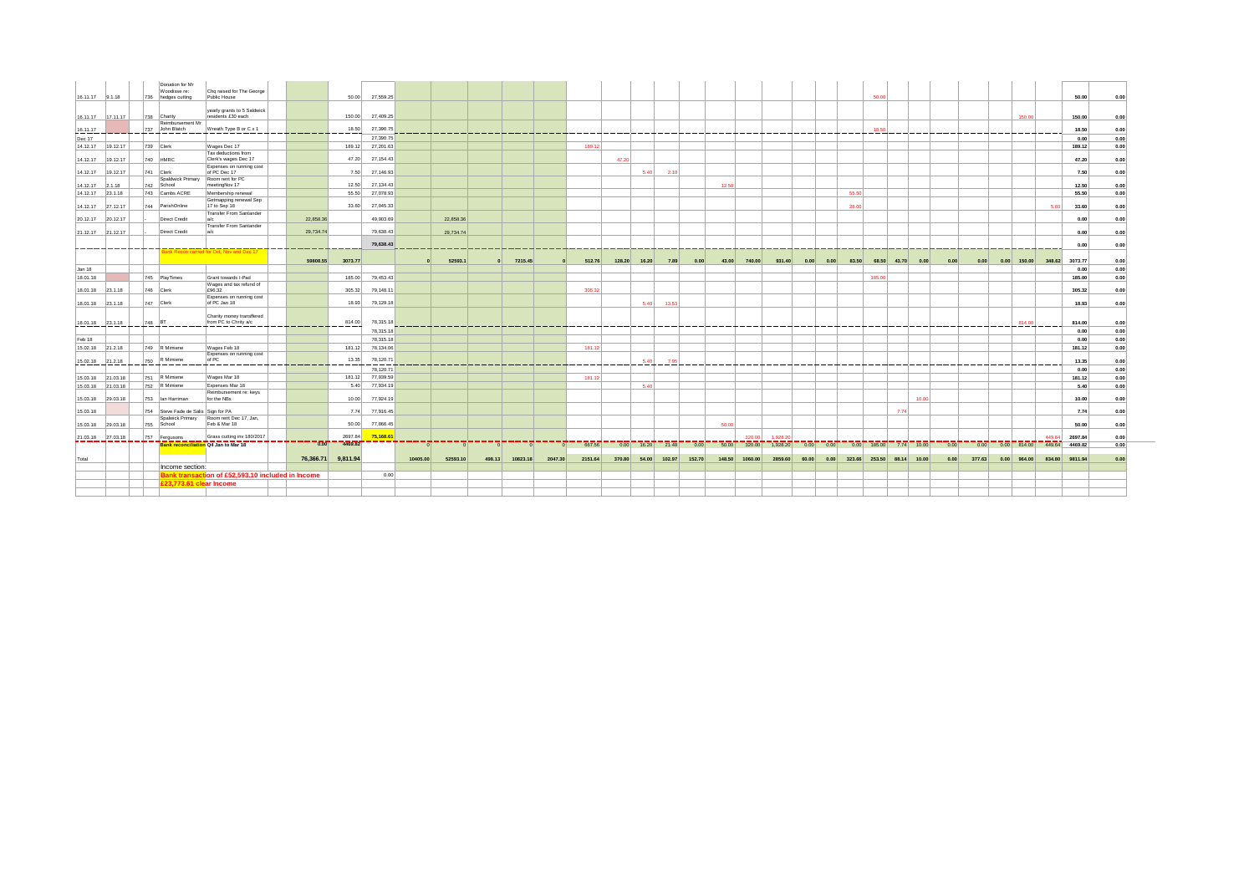|                   |        | Donation for Mr<br>Woodisse re:     | Chq raised for The George                           |           |                    |           |          |                            |          |           |         |         |                    |        |        |       |                |                                                        |       |      |                                  |                   |      |       |      |        |               |                                     |                |      |
|-------------------|--------|-------------------------------------|-----------------------------------------------------|-----------|--------------------|-----------|----------|----------------------------|----------|-----------|---------|---------|--------------------|--------|--------|-------|----------------|--------------------------------------------------------|-------|------|----------------------------------|-------------------|------|-------|------|--------|---------------|-------------------------------------|----------------|------|
| 16.11.17 9.1.18   |        | 736 hedges cutting                  | Public House                                        |           | 50.00              | 27,559.25 |          |                            |          |           |         |         |                    |        |        |       |                |                                                        |       |      |                                  | 50.00             |      |       |      |        |               |                                     | 50.00          | 0.00 |
|                   |        |                                     | yearly grants to 5 Saldwick                         |           |                    |           |          |                            |          |           |         |         |                    |        |        |       |                |                                                        |       |      |                                  |                   |      |       |      |        |               |                                     |                |      |
| 16.11.17 17.11.17 |        | 738 Charity<br>Reimbursement Mr     | residents £30 each                                  |           | 150.00             | 27,409.25 |          |                            |          |           |         |         |                    |        |        |       |                |                                                        |       |      |                                  |                   |      |       |      |        |               | 150.00                              | 150.00         | 0.00 |
| 16.11.17          |        | 737 John Blatch<br>_________        | Wreath Type B or C x 1                              | _______   | 18.50<br>-----     | 27,390.75 |          | -------------------------- |          |           |         |         |                    |        |        |       |                |                                                        |       |      |                                  | 18.50             |      |       |      |        |               |                                     | 18.50          | 0.00 |
| Dec 17            |        |                                     |                                                     |           |                    | 27,390.75 |          |                            |          |           |         |         |                    |        |        |       |                |                                                        |       |      |                                  |                   |      |       |      |        |               |                                     | 0.00           | 0.00 |
| 14.12.17 19.12.17 |        | 739 Clerk                           | Wages Dec 17                                        |           | 189.12             | 27,201.63 |          |                            |          |           |         | 189.12  |                    |        |        |       |                |                                                        |       |      |                                  |                   |      |       |      |        |               |                                     | 189.12         | 0.00 |
| 14.12.17 19.12.17 |        | 740 HMRC                            | Tax deductions from<br>Clerk's wages Dec 17         |           | 47.20              | 27,154.43 |          |                            |          |           |         |         | 47.20              |        |        |       |                |                                                        |       |      |                                  |                   |      |       |      |        |               |                                     | 47.20          | 0.00 |
| 14.12.17 19.12.17 |        | 741 Clerk                           | Expenses on running cost<br>of PC Dec 17            |           | 7.50               | 27,146.93 |          |                            |          |           |         |         | 5.40               | 2.10   |        |       |                |                                                        |       |      |                                  |                   |      |       |      |        |               |                                     | 7.50           | 0.00 |
| 14.12.17 2.1.18   |        | 742 School                          | Spaldwick Primary Room rent for PC<br>meetingNov 17 |           | 12.50              | 27.134.43 |          |                            |          |           |         |         |                    |        |        | 12.50 |                |                                                        |       |      |                                  |                   |      |       |      |        |               |                                     | 12.50          | 0.00 |
| 14.12.17 23.1.18  |        | 743 Cambs ACRE                      | Membership renewal                                  |           | 55.50              | 27,078.93 |          |                            |          |           |         |         |                    |        |        |       |                |                                                        |       |      | 55.50                            |                   |      |       |      |        |               |                                     | 55.50          | 0.00 |
| 14.12.17 27.12.17 |        | 744 ParishOnline                    | Getmapping renewal Sep<br>17 to Sep 18              |           | 33.60              | 27,045.33 |          |                            |          |           |         |         |                    |        |        |       |                |                                                        |       |      | 28.00                            |                   |      |       |      |        |               | 5.60                                | 33.60          | 0.00 |
| 20.12.17 20.12.17 |        | <b>Direct Credit</b>                | Transfer From Santander<br>a/c                      | 22,858.36 |                    | 49.903.69 |          | 22,858.36                  |          |           |         |         |                    |        |        |       |                |                                                        |       |      |                                  |                   |      |       |      |        |               |                                     | 0.00           | 0.00 |
| 21.12.17 21.12.17 |        | <b>Direct Credit</b>                | Transfer From Santander                             | 29,734.74 |                    | 79,638.43 |          | 29,734.74                  |          |           |         |         |                    |        |        |       |                |                                                        |       |      |                                  |                   |      |       |      |        |               |                                     | 0.00           | 0.00 |
|                   |        |                                     |                                                     |           |                    | 79,638.43 |          |                            |          |           |         |         |                    |        |        |       |                |                                                        |       |      |                                  |                   |      |       |      |        |               |                                     | 0.00           | 0.00 |
|                   |        |                                     | Bank Recon carried for Oct, Nov and Dec 17          |           |                    |           |          |                            |          |           |         |         |                    |        |        |       |                |                                                        |       |      |                                  |                   |      |       |      |        |               |                                     |                |      |
|                   |        |                                     |                                                     | 59808.55  | 3073.77            |           |          | 52593.1                    |          | 0 7215.45 |         | 512.76  | 128.20 16.20       | 7.89   | 0.00   | 43.00 | 740.00         | 931.40                                                 | 0.00  | 0.00 |                                  | 83.50 68.50 43.70 |      | 0.00  | 0.00 | 0.00   |               | 0.00 150.00 348.62 3073.77          |                | 0.00 |
| Jan 18            |        |                                     |                                                     |           |                    |           |          |                            |          |           |         |         |                    |        |        |       |                |                                                        |       |      |                                  |                   |      |       |      |        |               |                                     | 0.00           | 0.00 |
| 18.01.18          |        | 745 PlayTimes                       | Grant towards I-Pad                                 |           | 185.00             | 79,453.43 |          |                            |          |           |         |         |                    |        |        |       |                |                                                        |       |      |                                  | 185,00            |      |       |      |        |               |                                     | 185.00         | 0.00 |
| 18.01.18 23.1.18  |        | 746 Clerk                           | Wages and tax refund of<br>£96.32                   |           | 305.32             | 79,148.11 |          |                            |          |           |         | 305.32  |                    |        |        |       |                |                                                        |       |      |                                  |                   |      |       |      |        |               |                                     | 305.32         | 0.00 |
| 18.01.18 23.1.18  |        | 747 Clerk                           | Expenses on running cost<br>of PC Jan 18            |           | 18.93              | 79,129.18 |          |                            |          |           |         |         | 5.40               | 13.53  |        |       |                |                                                        |       |      |                                  |                   |      |       |      |        |               |                                     | 18.93          | 0.00 |
|                   |        |                                     | Charity money transflered                           |           |                    |           |          |                            |          |           |         |         |                    |        |        |       |                |                                                        |       |      |                                  |                   |      |       |      |        |               |                                     |                |      |
| 18.01.18 23.1.18  | 748 BT |                                     | from PC to Chrity a/c                               | _____     | 814.00<br>----     | 78,315.18 |          | -------------------------- |          |           |         |         |                    |        |        |       |                |                                                        |       |      |                                  |                   |      |       |      |        |               | 814.00                              | 814.00         | 0.00 |
|                   |        |                                     |                                                     |           |                    | 78,315.18 |          |                            |          |           |         |         |                    |        |        |       |                |                                                        |       |      |                                  |                   |      |       |      |        |               |                                     | 0.00           | 0.00 |
| Feb 18            |        |                                     |                                                     |           |                    | 78,315.18 |          |                            |          |           |         |         |                    |        |        |       |                |                                                        |       |      |                                  |                   |      |       |      |        |               |                                     | 0.00           | 0.00 |
| 15.02.18 21.2.18  |        | 749 R Mimiene                       | Wages Feb 18<br>Expenses on running cost            |           | 181.12             | 78,134.06 |          |                            |          |           |         | 181.12  |                    |        |        |       |                |                                                        |       |      |                                  |                   |      |       |      |        |               |                                     | 181.12         | 0.00 |
| 15.02.18 21.2.18  |        | 750 R Mimiene                       | of PC                                               |           | 13.35              | 78,120.71 |          |                            |          |           |         |         | 5.40               |        |        |       |                |                                                        |       |      |                                  |                   |      |       |      |        |               |                                     | 13.35          | 0.00 |
|                   |        |                                     |                                                     |           |                    | 78,120.71 |          |                            |          |           |         |         |                    |        |        |       |                |                                                        |       |      |                                  |                   |      |       |      |        |               |                                     | 0.00           | 0.00 |
| 15.03.18 21.03.18 |        | 751 R Mimiene                       | Wages Mar 18                                        |           | 181.12             | 77,939.59 |          |                            |          |           |         | 181.12  |                    |        |        |       |                |                                                        |       |      |                                  |                   |      |       |      |        |               |                                     | 181.12         | 0.00 |
| 15.03.18 21.03.18 |        | 752 R Mimiene                       | Expenses Mar 18<br>Reimbursement re: keys           |           | 5.40               | 77,934.19 |          |                            |          |           |         |         | 5.40               |        |        |       |                |                                                        |       |      |                                  |                   |      |       |      |        |               |                                     | 5.40           | 0.00 |
| 15.03.18 29.03.18 |        | 753 Ian Harriman                    | for the NBs                                         |           | 10.00              | 77,924.19 |          |                            |          |           |         |         |                    |        |        |       |                |                                                        |       |      |                                  |                   |      | 10.00 |      |        |               |                                     | 10.00          | 0.00 |
| 15.03.18          |        | 754 Steve Fade de Salis Sign for PA |                                                     |           | 7.74               | 77,916.45 |          |                            |          |           |         |         |                    |        |        |       |                |                                                        |       |      |                                  |                   | 7.74 |       |      |        |               |                                     | 7.74           | 0.00 |
| 15.03.18 29.03.18 |        | Spalwick Primary<br>755 School      | Room rent Dec 17, Jan,<br>Feb & Mar 18              |           | 50.00              | 77,866.45 |          |                            |          |           |         |         |                    |        |        | 50.00 |                |                                                        |       |      |                                  |                   |      |       |      |        |               |                                     | 50.00          | 0.00 |
| 21.03.18 27.03.18 |        | 757 Fergusons                       | Grass cutting inv 180/2017                          |           | 2697.84            | 75,168.61 |          |                            |          |           |         |         |                    |        |        |       | 320.00         | 1.928.2                                                |       |      |                                  |                   |      |       |      |        |               | 449.64                              | 2697.84        | 0.00 |
|                   |        |                                     | Bank reconciliation Q4 Jan to Mar 18                | $-0.00$   | 4469.82            |           |          |                            | $\Omega$ | $\Omega$  |         | 667.56  | $0.00$ 16.20 21.48 |        | 0.00   |       |                | 50.00 320.00 1,928.20 0.00 0.00 0.00 185.00 7.74 10.00 |       |      |                                  |                   |      |       | 0.00 |        |               | $0.00$ $0.00$ 814.00 449.64 4469.82 |                | 0.00 |
| Total             |        |                                     |                                                     |           | 76,366.71 9,811.94 |           | 10405.00 | 52593.10                   | 498.13   | 10823.18  | 2047.30 | 2151.64 | 370.80 54.00       | 102.97 | 152.70 |       | 148.50 1060.00 | 2859.60                                                | 60.00 |      | $0.00$ 323.66 253.50 88.14 10.00 |                   |      |       | 0.00 | 377.63 | $0.00$ 964.00 |                                     | 834.80 9811.94 | 0.00 |
|                   |        | Income section:                     |                                                     |           |                    |           |          |                            |          |           |         |         |                    |        |        |       |                |                                                        |       |      |                                  |                   |      |       |      |        |               |                                     |                |      |
|                   |        |                                     | Bank transaction of £52,593.10 included in Income   |           |                    | 0.00      |          |                            |          |           |         |         |                    |        |        |       |                |                                                        |       |      |                                  |                   |      |       |      |        |               |                                     |                |      |
|                   |        | £23,773.61 clear Income             |                                                     |           |                    |           |          |                            |          |           |         |         |                    |        |        |       |                |                                                        |       |      |                                  |                   |      |       |      |        |               |                                     |                |      |
|                   |        |                                     |                                                     |           |                    |           |          |                            |          |           |         |         |                    |        |        |       |                |                                                        |       |      |                                  |                   |      |       |      |        |               |                                     |                |      |